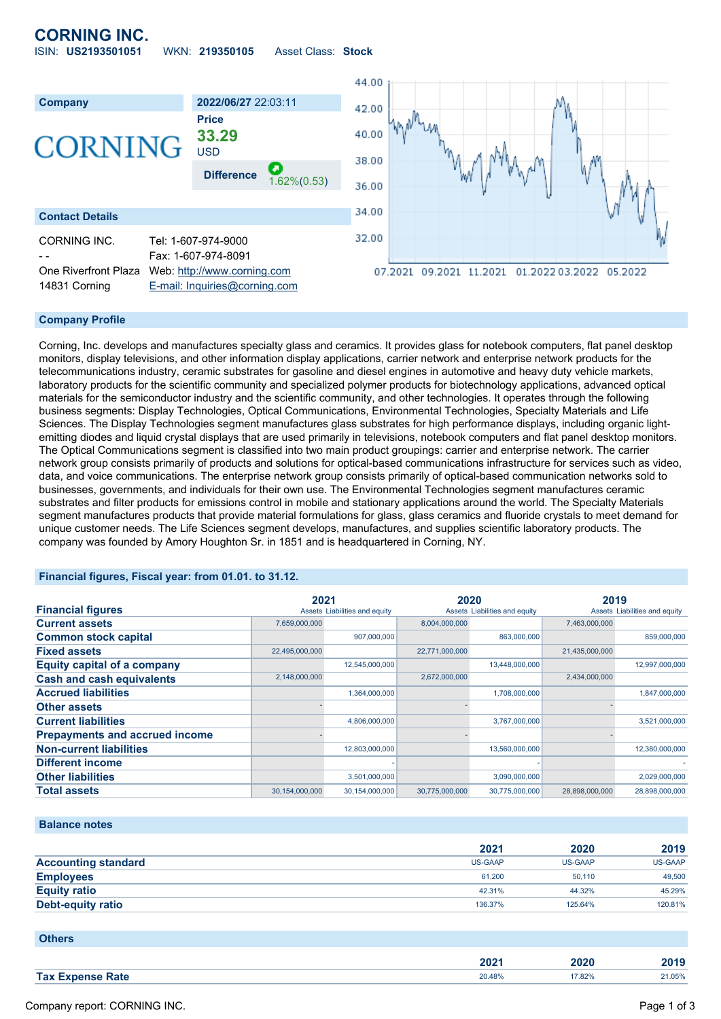# **CORNING INC.**

ISIN: **US2193501051** WKN: **219350105** Asset Class: **Stock**





## **Company Profile**

Corning, Inc. develops and manufactures specialty glass and ceramics. It provides glass for notebook computers, flat panel desktop monitors, display televisions, and other information display applications, carrier network and enterprise network products for the telecommunications industry, ceramic substrates for gasoline and diesel engines in automotive and heavy duty vehicle markets, laboratory products for the scientific community and specialized polymer products for biotechnology applications, advanced optical materials for the semiconductor industry and the scientific community, and other technologies. It operates through the following business segments: Display Technologies, Optical Communications, Environmental Technologies, Specialty Materials and Life Sciences. The Display Technologies segment manufactures glass substrates for high performance displays, including organic lightemitting diodes and liquid crystal displays that are used primarily in televisions, notebook computers and flat panel desktop monitors. The Optical Communications segment is classified into two main product groupings: carrier and enterprise network. The carrier network group consists primarily of products and solutions for optical-based communications infrastructure for services such as video, data, and voice communications. The enterprise network group consists primarily of optical-based communication networks sold to businesses, governments, and individuals for their own use. The Environmental Technologies segment manufactures ceramic substrates and filter products for emissions control in mobile and stationary applications around the world. The Specialty Materials segment manufactures products that provide material formulations for glass, glass ceramics and fluoride crystals to meet demand for unique customer needs. The Life Sciences segment develops, manufactures, and supplies scientific laboratory products. The company was founded by Amory Houghton Sr. in 1851 and is headquartered in Corning, NY.

## **Financial figures, Fiscal year: from 01.01. to 31.12.**

|                                       | 2021           |                               | 2020           |                               | 2019           |                               |
|---------------------------------------|----------------|-------------------------------|----------------|-------------------------------|----------------|-------------------------------|
| <b>Financial figures</b>              |                | Assets Liabilities and equity |                | Assets Liabilities and equity |                | Assets Liabilities and equity |
| <b>Current assets</b>                 | 7,659,000,000  |                               | 8,004,000,000  |                               | 7,463,000,000  |                               |
| <b>Common stock capital</b>           |                | 907,000,000                   |                | 863,000,000                   |                | 859,000,000                   |
| <b>Fixed assets</b>                   | 22,495,000,000 |                               | 22,771,000,000 |                               | 21,435,000,000 |                               |
| <b>Equity capital of a company</b>    |                | 12,545,000,000                |                | 13,448,000,000                |                | 12,997,000,000                |
| <b>Cash and cash equivalents</b>      | 2,148,000,000  |                               | 2,672,000,000  |                               | 2,434,000,000  |                               |
| <b>Accrued liabilities</b>            |                | 1,364,000,000                 |                | 1,708,000,000                 |                | 1,847,000,000                 |
| <b>Other assets</b>                   |                |                               |                |                               |                |                               |
| <b>Current liabilities</b>            |                | 4,806,000,000                 |                | 3,767,000,000                 |                | 3,521,000,000                 |
| <b>Prepayments and accrued income</b> |                |                               |                |                               |                |                               |
| <b>Non-current liabilities</b>        |                | 12,803,000,000                |                | 13,560,000,000                |                | 12,380,000,000                |
| <b>Different income</b>               |                |                               |                |                               |                |                               |
| <b>Other liabilities</b>              |                | 3,501,000,000                 |                | 3,090,000,000                 |                | 2,029,000,000                 |
| <b>Total assets</b>                   | 30,154,000,000 | 30,154,000,000                | 30.775.000.000 | 30,775,000,000                | 28.898.000.000 | 28.898.000.000                |

#### **Balance notes**

|                            | 2021    | 2020    | 2019           |
|----------------------------|---------|---------|----------------|
| <b>Accounting standard</b> | US-GAAP | US-GAAP | <b>US-GAAP</b> |
| <b>Employees</b>           | 61.200  | 50.110  | 49,500         |
| <b>Equity ratio</b>        | 42.31%  | 44.32%  | 45.29%         |
| <b>Debt-equity ratio</b>   | 136.37% | 125.64% | 120.81%        |

**Others**

| ירחר<br>$-0$ | 2020   | .<br>40 I J |
|--------------|--------|-------------|
| 20.48%<br>.  | 17.82% | 1.05%       |
|              |        |             |